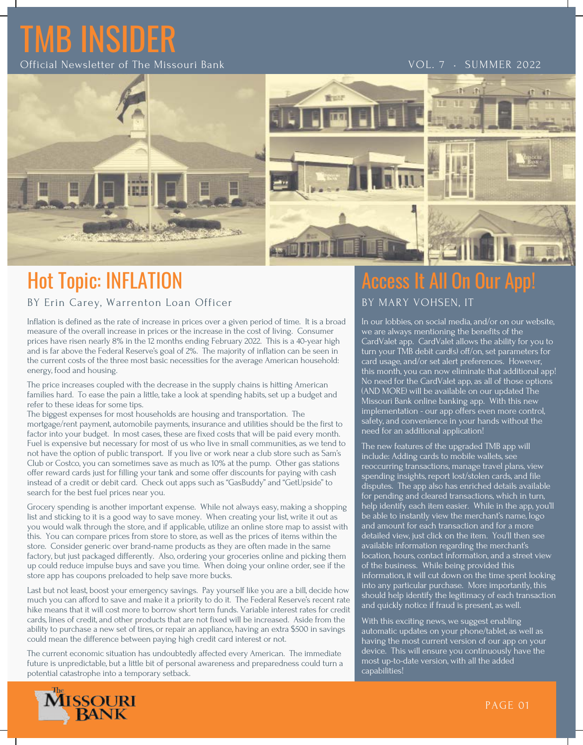# TMB INSIDER

Official Newsletter of The Missouri Bank VOL. 7 • SUMMER 2022



## Hot Topic: INFLATION

### BY Erin Carey, Warrenton Loan Officer

Inflation is defined as the rate of increase in prices over a given period of time. It is a broad measure of the overall increase in prices or the increase in the cost of living. Consumer prices have risen nearly 8% in the 12 months ending February 2022. This is a 40-year high and is far above the Federal Reserve's goal of 2%. The majority of inflation can be seen in the current costs of the three most basic necessities for the average American household: energy, food and housing.

The price increases coupled with the decrease in the supply chains is hitting American families hard. To ease the pain a little, take a look at spending habits, set up a budget and refer to these ideas for some tips.

The biggest expenses for most households are housing and transportation. The mortgage/rent payment, automobile payments, insurance and utilities should be the first to factor into your budget. In most cases, these are fixed costs that will be paid every month. Fuel is expensive but necessary for most of us who live in small communities, as we tend to not have the option of public transport. If you live or work near a club store such as Sam's Club or Costco, you can sometimes save as much as 10% at the pump. Other gas stations offer reward cards just for filling your tank and some offer discounts for paying with cash instead of a credit or debit card. Check out apps such as "GasBuddy" and "GetUpside" to search for the best fuel prices near you.

Grocery spending is another important expense. While not always easy, making a shopping list and sticking to it is a good way to save money. When creating your list, write it out as you would walk through the store, and if applicable, utilize an online store map to assist with this. You can compare prices from store to store, as well as the prices of items within the store. Consider generic over brand-name products as they are often made in the same factory, but just packaged differently. Also, ordering your groceries online and picking them up could reduce impulse buys and save you time. When doing your online order, see if the store app has coupons preloaded to help save more bucks.

Last but not least, boost your emergency savings. Pay yourself like you are a bill, decide how much you can afford to save and make it a priority to do it. The Federal Reserve's recent rate hike means that it will cost more to borrow short term funds. Variable interest rates for credit cards, lines of credit, and other products that are not fixed will be increased. Aside from the ability to purchase a new set of tires, or repair an appliance, having an extra \$500 in savings could mean the difference between paying high credit card interest or not.

The current economic situation has undoubtedly affected every American. The immediate future is unpredictable, but a little bit of personal awareness and preparedness could turn a potential catastrophe into a temporary setback.

### Access It All On Ou BY MARY VOHSEN, IT

In our lobbies, on social media, and/or on our website, we are always mentioning the benefits of the CardValet app. CardValet allows the ability for you to turn your TMB debit card(s) off/on, set parameters for card usage, and/or set alert preferences. However, this month, you can now eliminate that additional app! No need for the CardValet app, as all of those options (AND MORE) will be available on our updated The Missouri Bank online banking app. With this new implementation - our app offers even more control, safety, and convenience in your hands without the need for an additional application!

The new features of the upgraded TMB app will include: Adding cards to mobile wallets, see reoccurring transactions, manage travel plans, view spending insights, report lost/stolen cards, and file disputes. The app also has enriched details available for pending and cleared transactions, which in turn, help identify each item easier. While in the app, you'll be able to instantly view the merchant's name, logo and amount for each transaction and for a more detailed view, just click on the item. You'll then see available information regarding the merchant's location, hours, contact information, and a street view of the business. While being provided this information, it will cut down on the time spent looking into any particular purchase. More importantly, this should help identify the legitimacy of each transaction and quickly notice if fraud is present, as well.

With this exciting news, we suggest enabling automatic updates on your phone/tablet, as well as having the most current version of our app on your device. This will ensure you continuously have the most up-to-date version, with all the added capabilities!

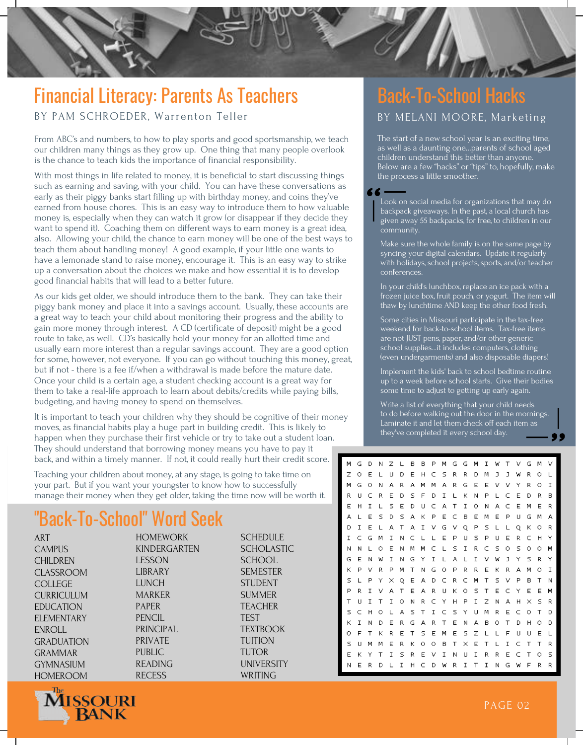## Financial Literacy: Parents As Teachers

BY PAM SCHROEDER, Warrenton Teller BY MELANI MOORE, Marketing

From ABC's and numbers, to how to play sports and good sportsmanship, we teach our children many things as they grow up. One thing that many people overlook is the chance to teach kids the importance of financial responsibility.

With most things in life related to money, it is beneficial to start discussing things such as earning and saving, with your child. You can have these conversations as early as their piggy banks start filling up with birthday money, and coins they've earned from house chores. This is an easy way to introduce them to how valuable money is, especially when they can watch it grow (or disappear if they decide they want to spend it). Coaching them on different ways to earn money is a great idea, also. Allowing your child, the chance to earn money will be one of the best ways to teach them about handling money! A good example, if your little one wants to have a lemonade stand to raise money, encourage it. This is an easy way to strike up a conversation about the choices we make and how essential it is to develop good financial habits that will lead to a better future.

As our kids get older, we should introduce them to the bank. They can take their piggy bank money and place it into a savings account. Usually, these accounts are a great way to teach your child about monitoring their progress and the ability to gain more money through interest. A CD (certificate of deposit) might be a good route to take, as well. CD's basically hold your money for an allotted time and usually earn more interest than a regular savings account. They are a good option for some, however, not everyone. If you can go without touching this money, great, but if not - there is a fee if/when a withdrawal is made before the mature date. Once your child is a certain age, a student checking account is a great way for them to take a real-life approach to learn about debits/credits while paying bills, budgeting, and having money to spend on themselves.

It is important to teach your children why they should be cognitive of their money moves, as financial habits play a huge part in building credit. This is likely to happen when they purchase their first vehicle or try to take out a student loan. They should understand that borrowing money means you have to pay it back, and within a timely manner. If not, it could really hurt their credit score.

Teaching your children about money, at any stage, is going to take time on your part. But if you want your youngster to know how to successfully manage their money when they get older, taking the time now will be worth it.

### "Back-To-School" Word Seek

ART **CAMPUS CHILDREN** CLASSROOM **COLLEGE** CURRICULUM EDUCATION ELEMENTARY ENROLL GRADUATION **GRAMMAR** GYMNASIUM HOMEROOM

HOMEWORK KINDERGARTEN LESSON LIBRARY LUNCH MARKER PAPER PENCIL PRINCIPAL PRIVATE PUBLIC READING RECESS

**SCHEDULE** SCHOLASTIC **SCHOOL** SEMESTER STUDENT SUMMER **TEACHER** TEST **TEXTBOOK** TUITION TUTOR UNIVERSITY WRITING

## Back-To-School Hacks

The start of a new school year is an exciting time, as well as a daunting one…parents of school aged children understand this better than anyone. Below are a few "hacks" or "tips" to, hopefully, make the process a little smoother.

Look on social media for organizations that may do backpack giveaways. In the past, a local church has given away 55 backpacks, for free, to children in our community.

66 -

Make sure the whole family is on the same page by syncing your digital calendars. Update it regularly with holidays, school projects, sports, and/or teacher conferences.

In your child's lunchbox, replace an ice pack with a frozen juice box, fruit pouch, or yogurt. The item will thaw by lunchtime AND keep the other food fresh.

Some cities in Missouri participate in the tax-free weekend for back-to-school items. Tax-free items are not JUST pens, paper, and/or other generic school supplies...it includes computers, clothing (even undergarments) and also disposable diapers!

Implement the kids' back to school bedtime routine up to a week before school starts. Give their bodies some time to adjust to getting up early again.

Write a list of everything that your child needs to do before walking out the door in the mornings. Laminate it and let them check off each item as they've completed it every school day.

M G D N Z L **B B P M G G M I W T V G M V**  $O$  E L U D E H C S R R D M J J R O L W  $\epsilon$  $\sim$ N A R A M M A R G E E V V  $\mathsf{Y}^{\perp}$ R O I U C R E D S F D I L K N P L C E D R B  $H$ I L S E D U C A T I O N A C E M E R  $\mathbf{I}$  $\mathsf{E}$  $\mathsf{s}$  $\overline{D}$ S A K P E C B E M E P UGMA  $\mathbf{r}$  $\mathbf{r}$ L A T A I V G V Q P  $S$   $L$   $L$  $Q - K$  $O$  R  $\epsilon$  $\overline{G}$ M INCLLEPUSPUE  $\mathbf{R}$  $\epsilon$  $H - Y$ L O E N M M C L S I R C S O  $\mathsf{S}$  $O$   $O$   $M$ INGYILAL  $\mathsf{E}$  $\overline{N}$  $\mathbf{M}$  $\mathbf T$  $\vee$ w  $\mathbf{I}$ S R Y R P M T N G O P R R  $\overline{D}$  $\vee$  $\mathsf{F}$  $\kappa$  $\mathbf{R}$ A M O T  $\overline{\mathsf{S}}$  $\mathsf{L}$ P  $Y \times Q$  E A D C R  $\subset$   $\,$  M  $\top$  $\leq$  $\vee$ P B T N  $\overline{R}$  $\mathtt I$  $\vee$ A T E A R  $\cup$  $\,$  K  $0 S$  $\top$ E  $\subset$ Y  $\mathsf{E}% _{\mathsf{H}}\left( \mathsf{E}\right)$ E M  $\mathbf{r}$  $\overline{1}$  $\mathsf{T}$ T I O N R C  $\mathsf{Y}$  $H$  $\mathsf{P}$  $\mathbf I$  $\mathsf z$  $N$  $\Delta$  $H$  $\times$  5 R  $\overline{\mathbf{S}}$  $\epsilon$  $H$  $O L$ A S T I C S Y U M R E COTD  $N$   $D$   $E$ R G A R T E N A B O T D H O D T K R E T S E M E S Z L L F UUEL U M M E R K O O B T X E T L I C T T R KYTISREVINUIRRECTOS  $\mathsf E$ N E R D L I H C D W R I T I N G W F R R

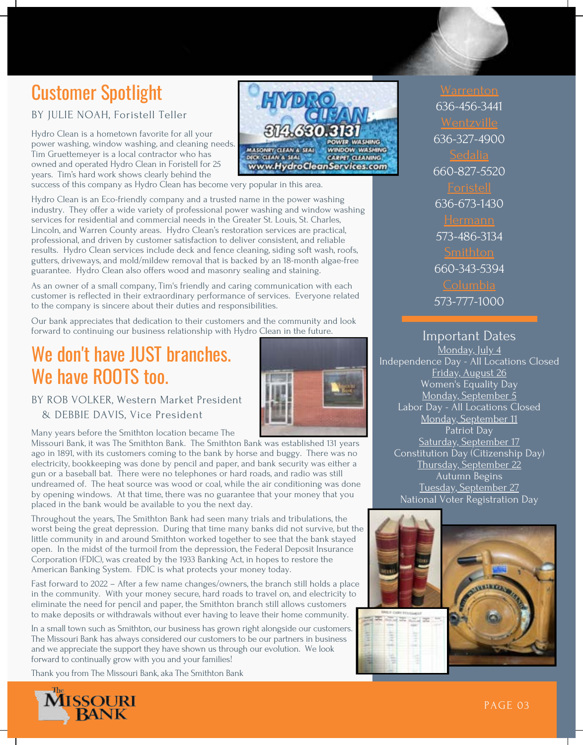## Customer Spotlight

BY JULIE NOAH, Foristell Teller

Hydro Clean is a hometown favorite for all your power washing, window washing, and cleaning needs. Tim Gruettemeyer is a local contractor who has owned and operated Hydro Clean in Foristell for 25 years. Tim's hard work shows clearly behind the

success of this company as Hydro Clean has become very popular in this area.

Hydro Clean is an Eco-friendly company and a trusted name in the power washing industry. They offer a wide variety of professional power washing and window washing services for residential and commercial needs in the Greater St. Louis, St. Charles, Lincoln, and Warren County areas. Hydro Clean's restoration services are practical, professional, and driven by customer satisfaction to deliver consistent, and reliable results. Hydro Clean services include deck and fence cleaning, siding soft wash, roofs, gutters, driveways, and mold/mildew removal that is backed by an 18-month algae-free guarantee. Hydro Clean also offers wood and masonry sealing and staining.

As an owner of a small company, Tim's friendly and caring communication with each customer is reflected in their extraordinary performance of services. Everyone related to the company is sincere about their duties and responsibilities.

Our bank appreciates that dedication to their customers and the community and look forward to continuing our business relationship with Hydro Clean in the future.

## We don't have JUST branches. We have ROOTS too.



Many years before the Smithton location became The

Missouri Bank, it was The Smithton Bank. The Smithton Bank was established 131 years ago in 1891, with its customers coming to the bank by horse and buggy. There was no electricity, bookkeeping was done by pencil and paper, and bank security was either a gun or a baseball bat. There were no telephones or hard roads, and radio was still undreamed of. The heat source was wood or coal, while the air conditioning was done by opening windows. At that time, there was no guarantee that your money that you placed in the bank would be available to you the next day.

Throughout the years, The Smithton Bank had seen many trials and tribulations, the worst being the great depression. During that time many banks did not survive, but the little community in and around Smithton worked together to see that the bank stayed open. In the midst of the turmoil from the depression, the Federal Deposit Insurance Corporation (FDIC), was created by the 1933 Banking Act, in hopes to restore the American Banking System. FDIC is what protects your money today.

Fast forward to 2022 – After a few name changes/owners, the branch still holds a place in the community. With your money secure, hard roads to travel on, and electricity to eliminate the need for pencil and paper, the Smithton branch still allows customers to make deposits or withdrawals without ever having to leave their home community.

In a small town such as Smithton, our business has grown right alongside our customers. The Missouri Bank has always considered our customers to be our partners in business and we appreciate the support they have shown us through our evolution. We look forward to continually grow with you and your families!

Thank you from The Missouri Bank, aka The Smithton Bank





Warrenton 636-456-3441 Wentzville 636-327-4900 660-827-5520 636-673-1430 573-486-3134 660-343-5394 573-777-1000

### Important Dates

Monday, July 4 Independence Day - All Locations Closed Friday, August 26 Women's Equality Day Monday, September 5 Labor Day - All Locations Closed Monday, September 11 Patriot Day Saturday, September 17 Constitution Day (Citizenship Day) Thursday, September 22 Autumn Begins Tuesday, September 27 National Voter Registration Day